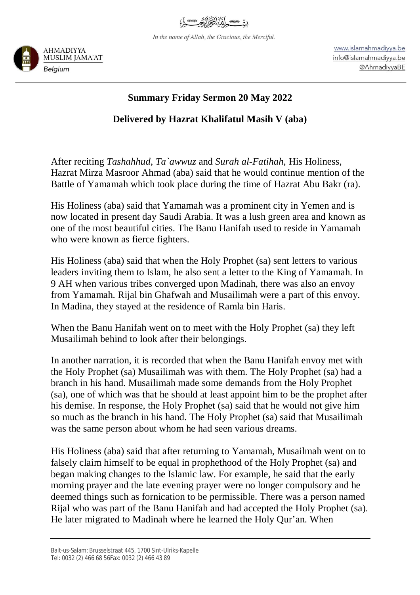

In the name of Allah, the Gracious, the Merciful.



www.islamahmadiyya.be info@islamahmadiyya.be @AhmadiyyaBE

## **Summary Friday Sermon 20 May 2022**

## **Delivered by Hazrat Khalifatul Masih V (aba)**

After reciting *Tashahhud*, *Ta`awwuz* and *Surah al-Fatihah*, His Holiness, Hazrat Mirza Masroor Ahmad (aba) said that he would continue mention of the Battle of Yamamah which took place during the time of Hazrat Abu Bakr (ra).

His Holiness (aba) said that Yamamah was a prominent city in Yemen and is now located in present day Saudi Arabia. It was a lush green area and known as one of the most beautiful cities. The Banu Hanifah used to reside in Yamamah who were known as fierce fighters.

His Holiness (aba) said that when the Holy Prophet (sa) sent letters to various leaders inviting them to Islam, he also sent a letter to the King of Yamamah. In 9 AH when various tribes converged upon Madinah, there was also an envoy from Yamamah. Rijal bin Ghafwah and Musailimah were a part of this envoy. In Madina, they stayed at the residence of Ramla bin Haris.

When the Banu Hanifah went on to meet with the Holy Prophet (sa) they left Musailimah behind to look after their belongings.

In another narration, it is recorded that when the Banu Hanifah envoy met with the Holy Prophet (sa) Musailimah was with them. The Holy Prophet (sa) had a branch in his hand. Musailimah made some demands from the Holy Prophet (sa), one of which was that he should at least appoint him to be the prophet after his demise. In response, the Holy Prophet (sa) said that he would not give him so much as the branch in his hand. The Holy Prophet (sa) said that Musailimah was the same person about whom he had seen various dreams.

His Holiness (aba) said that after returning to Yamamah, Musailmah went on to falsely claim himself to be equal in prophethood of the Holy Prophet (sa) and began making changes to the Islamic law. For example, he said that the early morning prayer and the late evening prayer were no longer compulsory and he deemed things such as fornication to be permissible. There was a person named Rijal who was part of the Banu Hanifah and had accepted the Holy Prophet (sa). He later migrated to Madinah where he learned the Holy Qur'an. When